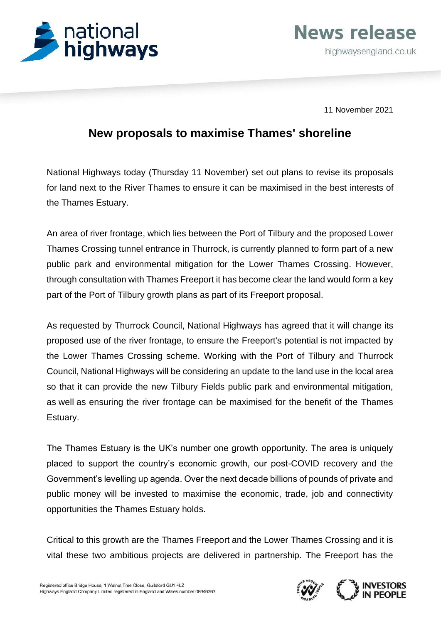

**News release** highwaysengland.co.uk

11 November 2021

## **New proposals to maximise Thames' shoreline**

National Highways today (Thursday 11 November) set out plans to revise its proposals for land next to the River Thames to ensure it can be maximised in the best interests of the Thames Estuary.

An area of river frontage, which lies between the Port of Tilbury and the proposed Lower Thames Crossing tunnel entrance in Thurrock, is currently planned to form part of a new public park and environmental mitigation for the Lower Thames Crossing. However, through consultation with Thames Freeport it has become clear the land would form a key part of the Port of Tilbury growth plans as part of its Freeport proposal.

As requested by Thurrock Council, National Highways has agreed that it will change its proposed use of the river frontage, to ensure the Freeport's potential is not impacted by the Lower Thames Crossing scheme. Working with the Port of Tilbury and Thurrock Council, National Highways will be considering an update to the land use in the local area so that it can provide the new Tilbury Fields public park and environmental mitigation, as well as ensuring the river frontage can be maximised for the benefit of the Thames Estuary.

The Thames Estuary is the UK's number one growth opportunity. The area is uniquely placed to support the country's economic growth, our post-COVID recovery and the Government's levelling up agenda. Over the next decade billions of pounds of private and public money will be invested to maximise the economic, trade, job and connectivity opportunities the Thames Estuary holds.

Critical to this growth are the Thames Freeport and the Lower Thames Crossing and it is vital these two ambitious projects are delivered in partnership. The Freeport has the

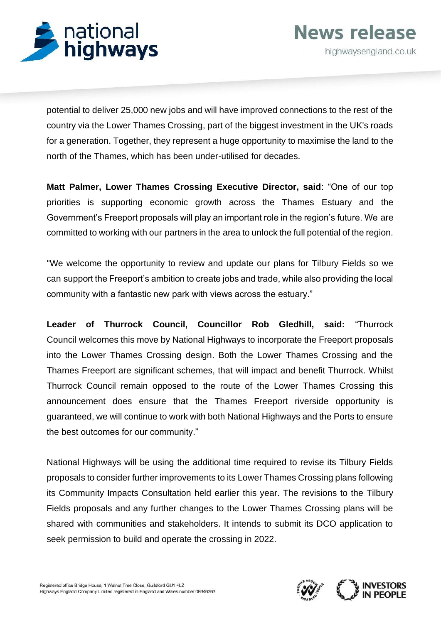

potential to deliver 25,000 new jobs and will have improved connections to the rest of the country via the Lower Thames Crossing, part of the biggest investment in the UK's roads for a generation. Together, they represent a huge opportunity to maximise the land to the north of the Thames, which has been under-utilised for decades.

**Matt Palmer, Lower Thames Crossing Executive Director, said**: "One of our top priorities is supporting economic growth across the Thames Estuary and the Government's Freeport proposals will play an important role in the region's future. We are committed to working with our partners in the area to unlock the full potential of the region.

"We welcome the opportunity to review and update our plans for Tilbury Fields so we can support the Freeport's ambition to create jobs and trade, while also providing the local community with a fantastic new park with views across the estuary."

**Leader of Thurrock Council, Councillor Rob Gledhill, said:** "Thurrock Council welcomes this move by National Highways to incorporate the Freeport proposals into the Lower Thames Crossing design. Both the Lower Thames Crossing and the Thames Freeport are significant schemes, that will impact and benefit Thurrock. Whilst Thurrock Council remain opposed to the route of the Lower Thames Crossing this announcement does ensure that the Thames Freeport riverside opportunity is guaranteed, we will continue to work with both National Highways and the Ports to ensure the best outcomes for our community."

National Highways will be using the additional time required to revise its Tilbury Fields proposals to consider further improvements to its Lower Thames Crossing plans following its Community Impacts Consultation held earlier this year. The revisions to the Tilbury Fields proposals and any further changes to the Lower Thames Crossing plans will be shared with communities and stakeholders. It intends to submit its DCO application to seek permission to build and operate the crossing in 2022.



**News release** 

highwaysengland.co.uk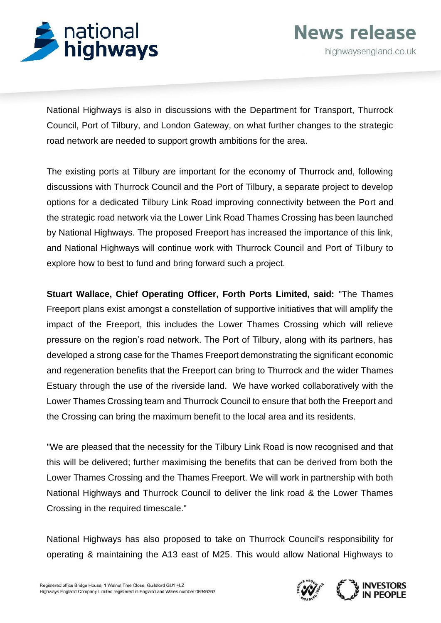

**News release** highwaysengland.co.uk

National Highways is also in discussions with the Department for Transport, Thurrock Council, Port of Tilbury, and London Gateway, on what further changes to the strategic road network are needed to support growth ambitions for the area.

The existing ports at Tilbury are important for the economy of Thurrock and, following discussions with Thurrock Council and the Port of Tilbury, a separate project to develop options for a dedicated Tilbury Link Road improving connectivity between the Port and the strategic road network via the Lower Link Road Thames Crossing has been launched by National Highways. The proposed Freeport has increased the importance of this link, and National Highways will continue work with Thurrock Council and Port of Tilbury to explore how to best to fund and bring forward such a project.

**Stuart Wallace, Chief Operating Officer, Forth Ports Limited, said:** "The Thames Freeport plans exist amongst a constellation of supportive initiatives that will amplify the impact of the Freeport, this includes the Lower Thames Crossing which will relieve pressure on the region's road network. The Port of Tilbury, along with its partners, has developed a strong case for the Thames Freeport demonstrating the significant economic and regeneration benefits that the Freeport can bring to Thurrock and the wider Thames Estuary through the use of the riverside land. We have worked collaboratively with the Lower Thames Crossing team and Thurrock Council to ensure that both the Freeport and the Crossing can bring the maximum benefit to the local area and its residents.

"We are pleased that the necessity for the Tilbury Link Road is now recognised and that this will be delivered; further maximising the benefits that can be derived from both the Lower Thames Crossing and the Thames Freeport. We will work in partnership with both National Highways and Thurrock Council to deliver the link road & the Lower Thames Crossing in the required timescale."

National Highways has also proposed to take on Thurrock Council's responsibility for operating & maintaining the A13 east of M25. This would allow National Highways to